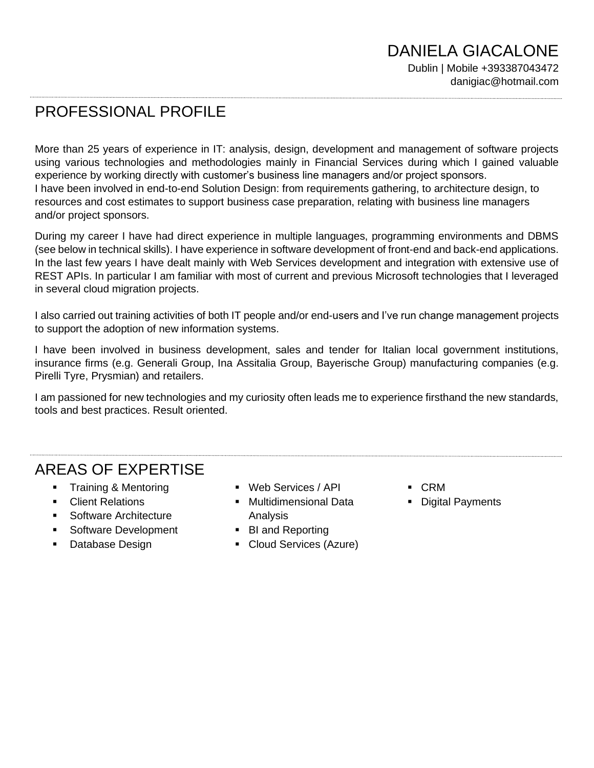# PROFESSIONAL PROFILE

More than 25 years of experience in IT: analysis, design, development and management of software projects using various technologies and methodologies mainly in Financial Services during which I gained valuable experience by working directly with customer's business line managers and/or project sponsors. I have been involved in end-to-end Solution Design: from requirements gathering, to architecture design, to resources and cost estimates to support business case preparation, relating with business line managers and/or project sponsors.

During my career I have had direct experience in multiple languages, programming environments and DBMS (see below in technical skills). I have experience in software development of front-end and back-end applications. In the last few years I have dealt mainly with Web Services development and integration with extensive use of REST APIs. In particular I am familiar with most of current and previous Microsoft technologies that I leveraged in several cloud migration projects.

I also carried out training activities of both IT people and/or end-users and I've run change management projects to support the adoption of new information systems.

I have been involved in business development, sales and tender for Italian local government institutions, insurance firms (e.g. Generali Group, Ina Assitalia Group, Bayerische Group) manufacturing companies (e.g. Pirelli Tyre, Prysmian) and retailers.

I am passioned for new technologies and my curiosity often leads me to experience firsthand the new standards, tools and best practices. Result oriented.

# AREAS OF EXPERTISE

- **Training & Mentoring**
- **Client Relations**
- Software Architecture
- **EXEC** Software Development
- Database Design
- Web Services / API
- Multidimensional Data Analysis
- BI and Reporting
- Cloud Services (Azure)
- CRM
- Digital Payments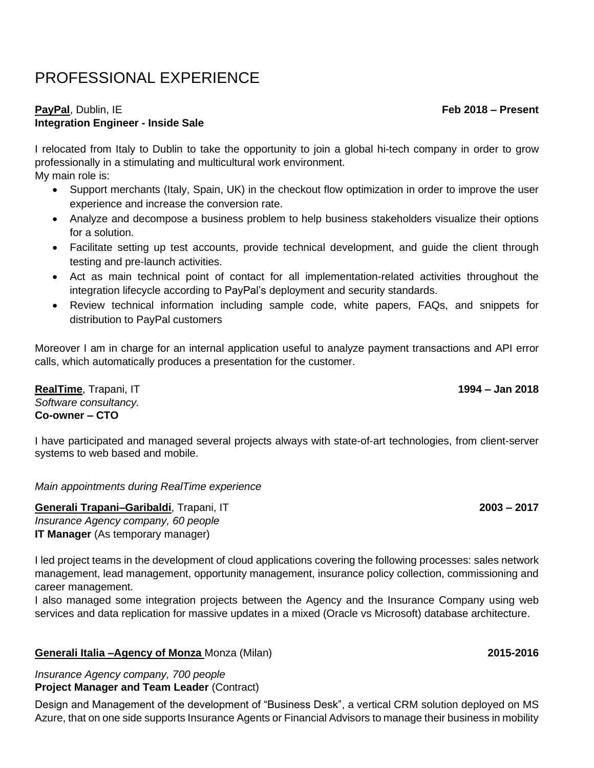# PROFESSIONAL EXPERIENCE

### **PayPal**, Dublin, IE **Feb 2018 – Present Integration Engineer - Inside Sale**

I relocated from Italy to Dublin to take the opportunity to join a global hi-tech company in order to grow professionally in a stimulating and multicultural work environment. My main role is:

- Support merchants (Italy, Spain, UK) in the checkout flow optimization in order to improve the user experience and increase the conversion rate.
- Analyze and decompose a business problem to help business stakeholders visualize their options for a solution.
- Facilitate setting up test accounts, provide technical development, and guide the client through testing and pre-launch activities.
- Act as main technical point of contact for all implementation-related activities throughout the integration lifecycle according to PayPal's deployment and security standards.
- Review technical information including sample code, white papers, FAQs, and snippets for distribution to PayPal customers

Moreover I am in charge for an internal application useful to analyze payment transactions and API error calls, which automatically produces a presentation for the customer.

**RealTime**, Trapani, IT **1994 – Jan 2018** *Software consultancy.*  **Co-owner – CTO**

I have participated and managed several projects always with state-of-art technologies, from client-server systems to web based and mobile.

*Main appointments during RealTime experience*

**Generali Trapani–Garibaldi**, Trapani, IT **2003 – 2017** *Insurance Agency company, 60 people* **IT Manager** (As temporary manager)

I led project teams in the development of cloud applications covering the following processes: sales network management, lead management, opportunity management, insurance policy collection, commissioning and career management.

I also managed some integration projects between the Agency and the Insurance Company using web services and data replication for massive updates in a mixed (Oracle vs Microsoft) database architecture.

### **Generali Italia –Agency of Monza** Monza (Milan) **2015-2016**

*Insurance Agency company, 700 people* **Project Manager and Team Leader** (Contract)

Design and Management of the development of "Business Desk", a vertical CRM solution deployed on MS Azure, that on one side supports Insurance Agents or Financial Advisors to manage their business in mobility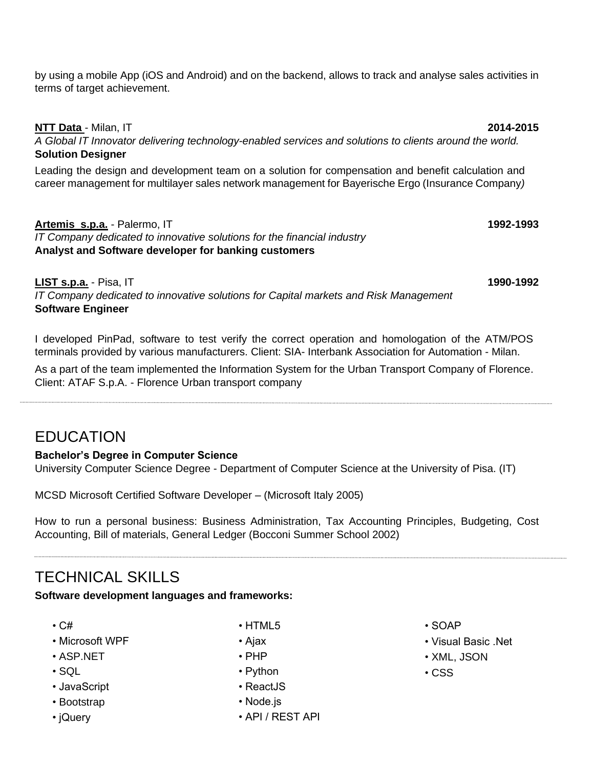by using a mobile App (iOS and Android) and on the backend, allows to track and analyse sales activities in terms of target achievement.

### **NTT Data** - Milan, IT **2014-2015**

*A Global IT Innovator delivering technology-enabled services and solutions to clients around the world.* **Solution Designer**

Leading the design and development team on a solution for compensation and benefit calculation and career management for multilayer sales network management for Bayerische Ergo (Insurance Company*)*

## **Artemis s.p.a.** - Palermo, IT **1992-1993**

*IT Company dedicated to innovative solutions for the financial industry*  **Analyst and Software developer for banking customers** 

**LIST s.p.a.** - Pisa, IT **1990-1992** *IT Company dedicated to innovative solutions for Capital markets and Risk Management* **Software Engineer**

I developed PinPad, software to test verify the correct operation and homologation of the ATM/POS terminals provided by various manufacturers. Client: SIA- Interbank Association for Automation - Milan.

As a part of the team implemented the Information System for the Urban Transport Company of Florence. Client: ATAF S.p.A. - Florence Urban transport company

## EDUCATION

### **Bachelor's Degree in Computer Science**

University Computer Science Degree - Department of Computer Science at the University of Pisa. (IT)

MCSD Microsoft Certified Software Developer – (Microsoft Italy 2005)

How to run a personal business: Business Administration, Tax Accounting Principles, Budgeting, Cost Accounting, Bill of materials, General Ledger (Bocconi Summer School 2002)

## TECHNICAL SKILLS

**Software development languages and frameworks:**

- C#
- Microsoft WPF
- ASP.NET
- $\cdot$  SQL
- JavaScript
- Bootstrap
- jQuery
- HTML5
- Ajax
- PHP
- Python
- ReactJS
- Node.js
- API / REST API
- SOAP
- Visual Basic .Net
- XML, JSON
- CSS